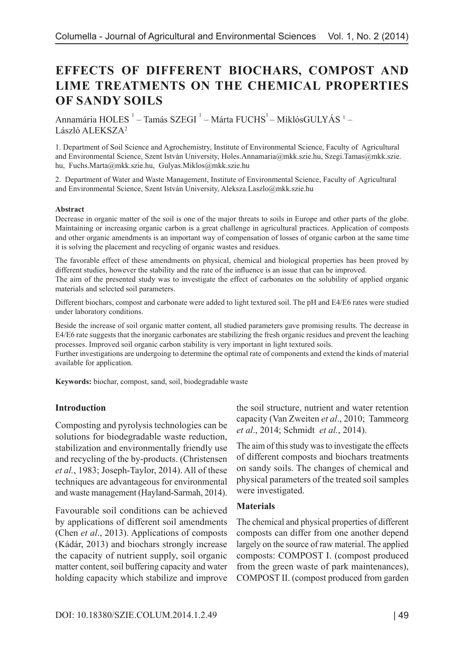# **EFFECTS OF DIFFERENT BIOCHARS, COMPOST AND LIME TREATMENTS ON THE CHEMICAL PROPERTIES OF SANDY SOILS**

Annamária HOLES  $^1$  – Tamás SZEGI  $^1$  – Márta FUCHS $^1$ – MiklósGULYÁS  $^1$  – László ALEKSZA2

1. Department of Soil Science and Agrochemistry, Institute of Environmental Science, Faculty of Agricultural and Environmental Science, Szent István University, Holes.Annamaria@mkk.szie.hu, Szegi.Tamas@mkk.szie. hu, Fuchs.Marta@mkk.szie.hu, Gulyas.Miklos@mkk.szie.hu

2. Department of Water and Waste Management, Institute of Environmental Science, Faculty of Agricultural and Environmental Science, Szent István University, Aleksza.Laszlo@mkk.szie.hu

#### **Abstract**

Decrease in organic matter of the soil is one of the major threats to soils in Europe and other parts of the globe. Maintaining or increasing organic carbon is a great challenge in agricultural practices. Application of composts and other organic amendments is an important way of compensation of losses of organic carbon at the same time it is solving the placement and recycling of organic wastes and residues.

The favorable effect of these amendments on physical, chemical and biological properties has been proved by different studies, however the stability and the rate of the influence is an issue that can be improved.

The aim of the presented study was to investigate the effect of carbonates on the solubility of applied organic materials and selected soil parameters.

Different biochars, compost and carbonate were added to light textured soil. The pH and E4/E6 rates were studied under laboratory conditions.

Beside the increase of soil organic matter content, all studied parameters gave promising results. The decrease in E4/E6 rate suggests that the inorganic carbonates are stabilizing the fresh organic residues and prevent the leaching processes. Improved soil organic carbon stability is very important in light textured soils.

Further investigations are undergoing to determine the optimal rate of components and extend the kinds of material available for application.

**Keywords:** biochar, compost, sand, soil, biodegradable waste

### **Introduction**

Composting and pyrolysis technologies can be solutions for biodegradable waste reduction, stabilization and environmentally friendly use and recycling of the by-products. (Christensen *et al.*, 1983; Joseph-Taylor, 2014). All of these techniques are advantageous for environmental and waste management (Hayland-Sarmah, 2014).

Favourable soil conditions can be achieved by applications of different soil amendments (Chen *et al*., 2013). Applications of composts (Kádár, 2013) and biochars strongly increase the capacity of nutrient supply, soil organic matter content, soil buffering capacity and water holding capacity which stabilize and improve the soil structure, nutrient and water retention capacity (Van Zweiten *et al*., 2010; Tammeorg *et al*., 2014; Schmidt *et al.*, 2014).

The aim of this study was to investigate the effects of different composts and biochars treatments on sandy soils. The changes of chemical and physical parameters of the treated soil samples were investigated.

### **Materials**

The chemical and physical properties of different composts can differ from one another depend largely on the source of raw material. The applied composts: COMPOST I. (compost produced from the green waste of park maintenances), COMPOST II. (compost produced from garden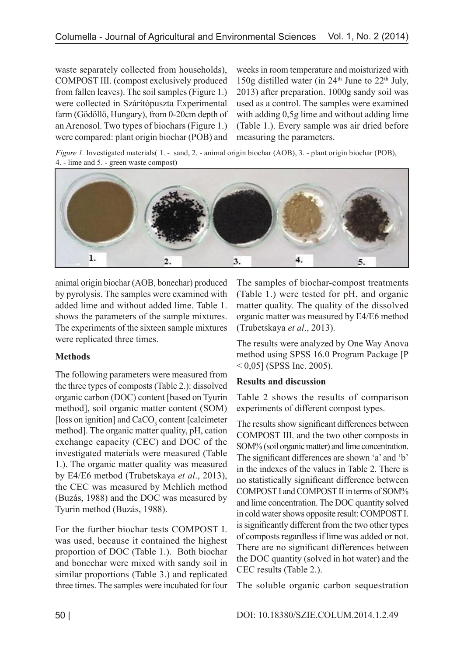waste separately collected from households), COMPOST III. (compost exclusively produced from fallen leaves). The soil samples (Figure 1.) were collected in Szárítópuszta Experimental farm (Gödöllő, Hungary), from 0-20cm depth of an Arenosol. Two types of biochars (Figure 1.) were compared: plant origin biochar (POB) and weeks in room temperature and moisturized with 150g distilled water (in  $24<sup>th</sup>$  June to  $22<sup>th</sup>$  July, 2013) after preparation. 1000g sandy soil was used as a control. The samples were examined with adding 0,5g lime and without adding lime (Table 1.). Every sample was air dried before measuring the parameters.

*Figure 1.* Investigated materials( 1. - sand, 2. - animal origin biochar (AOB), 3. - plant origin biochar (POB), 4. - lime and 5. - green waste compost)



animal origin biochar (AOB, bonechar) produced by pyrolysis. The samples were examined with added lime and without added lime. Table 1. shows the parameters of the sample mixtures. The experiments of the sixteen sample mixtures were replicated three times.

# **Methods**

The following parameters were measured from the three types of composts (Table 2.): dissolved organic carbon (DOC) content [based on Tyurin method], soil organic matter content (SOM) [loss on ignition] and  $CaCO<sub>3</sub>$  content [calcimeter] method]. The organic matter quality, pH, cation exchange capacity (CEC) and DOC of the investigated materials were measured (Table 1.). The organic matter quality was measured by E4/E6 metbod (Trubetskaya *et al*., 2013), the CEC was measured by Mehlich method (Buzás, 1988) and the DOC was measured by Tyurin method (Buzás, 1988).

For the further biochar tests COMPOST I. was used, because it contained the highest proportion of DOC (Table 1.). Both biochar and bonechar were mixed with sandy soil in similar proportions (Table 3.) and replicated three times. The samples were incubated for four

The samples of biochar-compost treatments (Table 1.) were tested for pH, and organic matter quality. The quality of the dissolved organic matter was measured by E4/E6 method (Trubetskaya *et al*., 2013).

The results were analyzed by One Way Anova method using SPSS 16.0 Program Package [P  $< 0.05$ ] (SPSS Inc. 2005).

# **Results and discussion**

Table 2 shows the results of comparison experiments of different compost types.

The results show significant differences between COMPOST III. and the two other composts in SOM% (soil organic matter) and lime concentration. The significant differences are shown 'a' and 'b' in the indexes of the values in Table 2. There is no statistically significant difference between COMPOST I and COMPOST II in terms of SOM% and lime concentration. The DOC quantity solved in cold water shows opposite result: COMPOST I. is significantly different from the two other types of composts regardless if lime was added or not. There are no significant differences between the DOC quantity (solved in hot water) and the CEC results (Table 2.).

The soluble organic carbon sequestration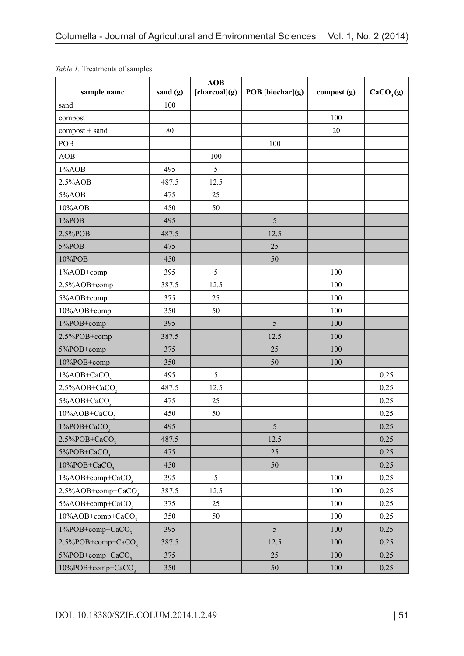| sample name                    | sand (g) | AOB<br>[charcoal](g) | POB [biochar](g) | compost (g) | CaCO <sub>3</sub> (g) |
|--------------------------------|----------|----------------------|------------------|-------------|-----------------------|
| sand                           | 100      |                      |                  |             |                       |
| compost                        |          |                      |                  | 100         |                       |
| compost + sand                 | 80       |                      |                  | 20          |                       |
| POB                            |          |                      | 100              |             |                       |
| AOB                            |          | 100                  |                  |             |                       |
| 1%AOB                          | 495      | 5                    |                  |             |                       |
| 2.5%AOB                        | 487.5    | 12.5                 |                  |             |                       |
| 5%AOB                          | 475      | 25                   |                  |             |                       |
| 10%AOB                         | 450      | 50                   |                  |             |                       |
| 1%POB                          | 495      |                      | 5                |             |                       |
| 2.5%POB                        | 487.5    |                      | 12.5             |             |                       |
| 5%POB                          | 475      |                      | 25               |             |                       |
| 10%POB                         | 450      |                      | 50               |             |                       |
| 1%AOB+comp                     | 395      | 5                    |                  | 100         |                       |
| 2.5%AOB+comp                   | 387.5    | 12.5                 |                  | 100         |                       |
| 5%AOB+comp                     | 375      | 25                   |                  | 100         |                       |
| 10%AOB+comp                    | 350      | 50                   |                  | 100         |                       |
| 1%POB+comp                     | 395      |                      | 5                | 100         |                       |
| 2.5%POB+comp                   | 387.5    |                      | 12.5             | 100         |                       |
| 5%POB+comp                     | 375      |                      | 25               | 100         |                       |
| 10%POB+comp                    | 350      |                      | 50               | 100         |                       |
| 1%AOB+CaCO <sub>3</sub>        | 495      | 5                    |                  |             | 0.25                  |
| $2.5\%AOB + CaCO$              | 487.5    | 12.5                 |                  |             | 0.25                  |
| 5%AOB+CaCO <sub>3</sub>        | 475      | 25                   |                  |             | 0.25                  |
| 10%AOB+CaCO <sub>3</sub>       | 450      | 50                   |                  |             | 0.25                  |
| $1\%POB+CaCO$                  | 495      |                      | 5                |             | 0.25                  |
| $2.5\%POB + CaCO$              | 487.5    |                      | 12.5             |             | 0.25                  |
| 5%POB+CaCO <sub>3</sub>        | 475      |                      | 25               |             | 0.25                  |
| 10%POB+CaCO <sub>3</sub>       | 450      |                      | 50               |             | 0.25                  |
| 1%AOB+comp+CaCO <sub>3</sub>   | 395      | 5                    |                  | 100         | 0.25                  |
| 2.5%AOB+comp+CaCO <sub>3</sub> | 387.5    | 12.5                 |                  | 100         | 0.25                  |
| 5%AOB+comp+CaCO <sub>3</sub>   | 375      | 25                   |                  | 100         | 0.25                  |
| 10%AOB+comp+CaCO <sub>3</sub>  | 350      | 50                   |                  | 100         | 0.25                  |
| 1%POB+comp+CaCO <sub>3</sub>   | 395      |                      | 5                | 100         | 0.25                  |
| 2.5%POB+comp+CaCO <sub>3</sub> | 387.5    |                      | 12.5             | 100         | 0.25                  |
| 5%POB+comp+CaCO <sub>3</sub>   | 375      |                      | 25               | 100         | 0.25                  |
| 10%POB+comp+CaCO <sub>3</sub>  | 350      |                      | 50               | 100         | 0.25                  |

*Table 1.* Treatments of samples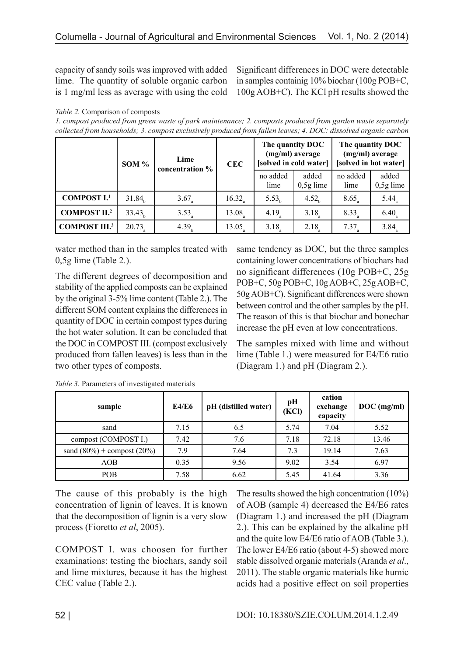capacity of sandy soils was improved with added lime. The quantity of soluble organic carbon is 1 mg/ml less as average with using the cold Significant differences in DOC were detectable in samples containig 10% biochar (100g POB+C, 100g AOB+C). The KCl pH results showed the

#### *Table 2.* Comparison of composts

*1. compost produced from green waste of park maintenance; 2. composts produced from garden waste separately collected from households; 3. compost exclusively produced from fallen leaves; 4. DOC: dissolved organic carbon*

|                      | SOM $%$            | Lime<br>concentration % | <b>CEC</b>           | The quantity DOC<br>(mg/ml) average<br>[solved in cold water] |                      | The quantity DOC<br>(mg/ml) average<br>[solved in hot water] |                      |
|----------------------|--------------------|-------------------------|----------------------|---------------------------------------------------------------|----------------------|--------------------------------------------------------------|----------------------|
|                      |                    |                         |                      | no added<br>lime                                              | added<br>$0,5g$ lime | no added<br>lime                                             | added<br>$0,5g$ lime |
| <b>COMPOST I.1</b>   | 31.84 <sub>b</sub> | $3.67_{\circ}$          | $16.32$ <sub>a</sub> | 5.53 <sub>h</sub>                                             | 4.52 <sub>b</sub>    | 8.65                                                         | $5.44_{\text{a}}$    |
| <b>COMPOST II.2</b>  | 33.43              | $3.53_a$                | 13.08                | 4.19                                                          | 3.18                 | 8.33                                                         | $6.40_a$             |
| <b>COMPOST III.3</b> | $20.73_a$          | 4.39 <sub>h</sub>       | 13.05.               | 3.18                                                          | $2.18$ <sub>2</sub>  | $7.37$ <sub>2</sub>                                          | 3.84                 |

water method than in the samples treated with 0,5g lime (Table 2.).

The different degrees of decomposition and stability of the applied composts can be explained by the original 3-5% lime content (Table 2.). The different SOM content explains the differences in quantity of DOC in certain compost types during the hot water solution. It can be concluded that the DOC in COMPOST III. (compost exclusively produced from fallen leaves) is less than in the two other types of composts.

same tendency as DOC, but the three samples containing lower concentrations of biochars had no significant differences (10g POB+C, 25g POB+C, 50g POB+C, 10g AOB+C, 25g AOB+C, 50g AOB+C). Significant differences were shown between control and the other samples by the pH. The reason of this is that biochar and bonechar increase the pH even at low concentrations.

The samples mixed with lime and without lime (Table 1.) were measured for E4/E6 ratio (Diagram 1.) and pH (Diagram 2.).

| sample                           | <b>E4/E6</b> | pH (distilled water) | pН<br>(KCl) | cation<br>exchange<br>capacity | $DOC$ (mg/ml) |
|----------------------------------|--------------|----------------------|-------------|--------------------------------|---------------|
| sand                             | 7.15         | 6.5                  | 5.74        | 7.04                           | 5.52          |
| compost (COMPOST I.)             | 7.42         | 7.6                  | 7.18        | 72.18                          | 13.46         |
| sand $(80\%)$ + compost $(20\%)$ | 7.9          | 7.64                 | 7.3         | 19.14                          | 7.63          |
| AOB                              | 0.35         | 9.56                 | 9.02        | 3.54                           | 6.97          |
| <b>POB</b>                       | 7.58         | 6.62                 | 5.45        | 41.64                          | 3.36          |

*Table 3.* Parameters of investigated materials

The cause of this probably is the high concentration of lignin of leaves. It is known that the decomposition of lignin is a very slow process (Fioretto *et al*, 2005).

COMPOST I. was choosen for further examinations: testing the biochars, sandy soil and lime mixtures, because it has the highest CEC value (Table 2.).

The results showed the high concentration (10%) of AOB (sample 4) decreased the E4/E6 rates (Diagram 1.) and increased the pH (Diagram 2.). This can be explained by the alkaline pH and the quite low E4/E6 ratio of AOB (Table 3.). The lower E4/E6 ratio (about 4-5) showed more stable dissolved organic materials (Aranda *et al*., 2011). The stable organic materials like humic acids had a positive effect on soil properties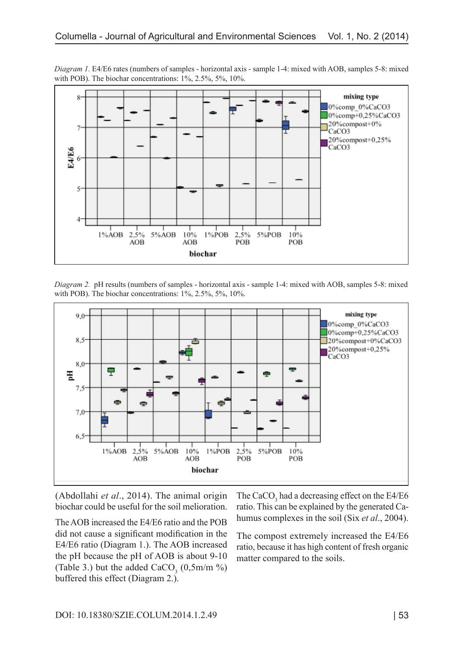

*Diagram 1.* E4/E6 rates (numbers of samples - horizontal axis - sample 1-4: mixed with AOB, samples 5-8: mixed with POB). The biochar concentrations: 1%, 2.5%, 5%, 10%.

*Diagram 2.* pH results (numbers of samples - horizontal axis - sample 1-4: mixed with AOB, samples 5-8: mixed with POB). The biochar concentrations:  $1\%$ ,  $2.5\%$ ,  $5\%$ ,  $10\%$ .



(Abdollahi *et al*., 2014). The animal origin biochar could be useful for the soil melioration.

The AOB increased the E4/E6 ratio and the POB did not cause a significant modification in the E4/E6 ratio (Diagram 1.). The AOB increased the pH because the pH of AOB is about 9-10 (Table 3.) but the added  $CaCO<sub>3</sub>$  (0,5m/m %) buffered this effect (Diagram 2.).

The CaCO<sub>3</sub> had a decreasing effect on the E4/E6 ratio. This can be explained by the generated Cahumus complexes in the soil (Six *et al*., 2004).

The compost extremely increased the E4/E6 ratio, because it has high content of fresh organic matter compared to the soils.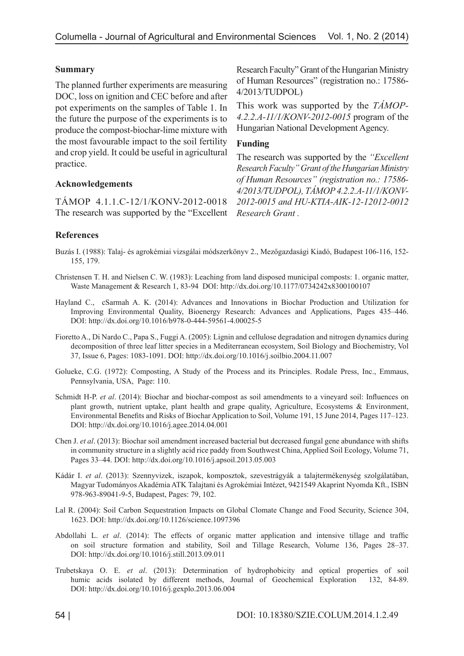## **Summary**

The planned further experiments are measuring DOC, loss on ignition and CEC before and after pot experiments on the samples of Table 1. In the future the purpose of the experiments is to produce the compost-biochar-lime mixture with the most favourable impact to the soil fertility and crop yield. It could be useful in agricultural practice.

## **Acknowledgements**

TÁMOP 4.1.1.C-12/1/KONV-2012-0018 The research was supported by the "Excellent *Research Grant .*

Research Faculty" Grant of the Hungarian Ministry of Human Resources" (registration no.: 17586- 4/2013/TUDPOL)

This work was supported by the *TÁMOP-4.2.2.A-11/1/KONV-2012-0015* program of the Hungarian National Development Agency.

### **Funding**

The research was supported by the *"Excellent Research Faculty" Grant of the Hungarian Ministry of Human Resources" (registration no.: 17586- 4/2013/TUDPOL), TÁMOP 4.2.2.A-11/1/KONV-2012-0015 and HU-KTIA-AIK-12-12012-0012* 

## **References**

- Buzás I. (1988): Talaj- és agrokémiai vizsgálai módszerkönyv 2., Mezőgazdasági Kiadó, Budapest 106-116, 152- 155, 179.
- Christensen T. H. and Nielsen C. W. (1983): Leaching from land disposed municipal composts: 1. organic matter, Waste Management & Research 1, 83-94 DOI: http://dx.doi.org/10.1177/0734242x8300100107
- Hayland C., cSarmah A. K. (2014): Advances and Innovations in Biochar Production and Utilization for Improving Environmental Quality, Bioenergy Research: Advances and Applications, Pages 435–446. DOI: http://dx.doi.org/10.1016/b978-0-444-59561-4.00025-5
- Fioretto A., Di Nardo C., Papa S., Fuggi A. (2005): Lignin and cellulose degradation and nitrogen dynamics during decomposition of three leaf litter species in a Mediterranean ecosystem, Soil Biology and Biochemistry, Vol 37, Issue 6, Pages: 1083-1091. DOI: http://dx.doi.org/10.1016/j.soilbio.2004.11.007
- Golueke, C.G. (1972): Composting, A Study of the Process and its Principles. Rodale Press, Inc., Emmaus, Pennsylvania, USA, Page: 110.
- Schmidt H-P. *et al*. (2014): Biochar and biochar-compost as soil amendments to a vineyard soil: Influences on plant growth, nutrient uptake, plant health and grape quality, Agriculture, Ecosystems & Environment, Environmental Benefits and Risks of Biochar Application to Soil, Volume 191, 15 June 2014, Pages 117–123. DOI: http://dx.doi.org/10.1016/j.agee.2014.04.001
- Chen J. *et al*. (2013): Biochar soil amendment increased bacterial but decreased fungal gene abundance with shifts in community structure in a slightly acid rice paddy from Southwest China, Applied Soil Ecology, Volume 71, Pages 33–44. DOI: http://dx.doi.org/10.1016/j.apsoil.2013.05.003
- Kádár I. *et al*. (2013): Szennyvizek, iszapok, komposztok, szevestrágyák a talajtermékenység szolgálatában, Magyar Tudományos Akadémia ATK Talajtani és Agrokémiai Intézet, 9421549 Akaprint Nyomda Kft., ISBN 978-963-89041-9-5, Budapest, Pages: 79, 102.
- Lal R. (2004): Soil Carbon Sequestration Impacts on Global Clomate Change and Food Security, Science 304, 1623. DOI: http://dx.doi.org/10.1126/science.1097396
- Abdollahi L. *et al*. (2014): The effects of organic matter application and intensive tillage and traffic on soil structure formation and stability, Soil and Tillage Research, Volume 136, Pages 28–37. DOI: http://dx.doi.org/10.1016/j.still.2013.09.011
- Trubetskaya O. E. *et al*. (2013): Determination of hydrophobicity and optical properties of soil humic acids isolated by different methods, Journal of Geochemical Exploration 132, 84-89. DOI: http://dx.doi.org/10.1016/j.gexplo.2013.06.004